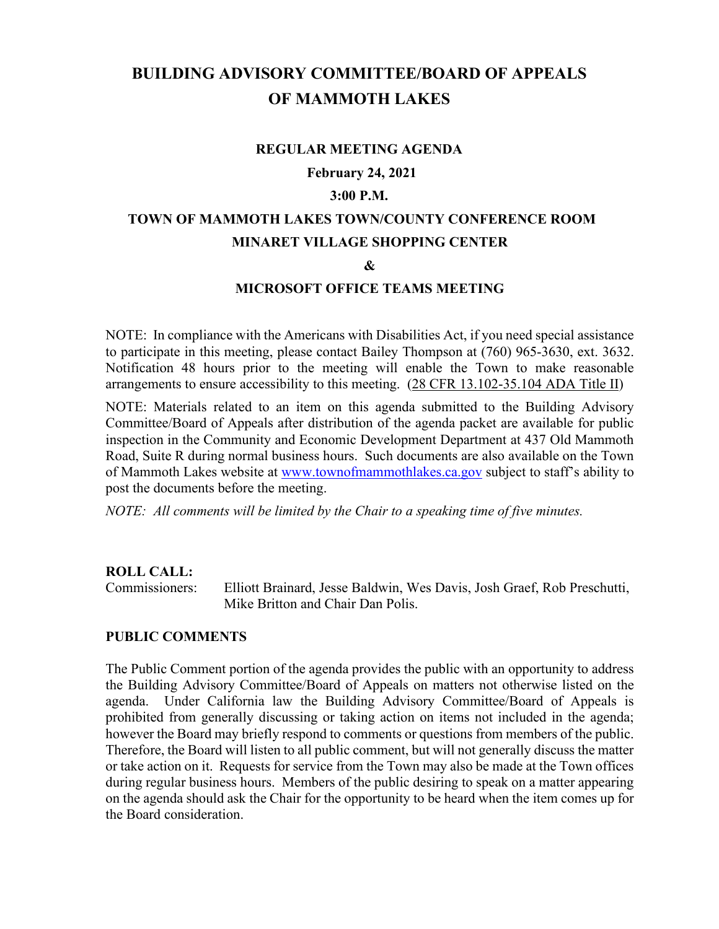# **BUILDING ADVISORY COMMITTEE/BOARD OF APPEALS OF MAMMOTH LAKES**

#### **REGULAR MEETING AGENDA**

#### **February 24, 2021**

#### **3:00 P.M.**

## **TOWN OF MAMMOTH LAKES TOWN/COUNTY CONFERENCE ROOM MINARET VILLAGE SHOPPING CENTER**

#### **&**

#### **MICROSOFT OFFICE TEAMS MEETING**

NOTE: In compliance with the Americans with Disabilities Act, if you need special assistance to participate in this meeting, please contact Bailey Thompson at (760) 965-3630, ext. 3632. Notification 48 hours prior to the meeting will enable the Town to make reasonable arrangements to ensure accessibility to this meeting. (28 CFR 13.102-35.104 ADA Title II)

NOTE: Materials related to an item on this agenda submitted to the Building Advisory Committee/Board of Appeals after distribution of the agenda packet are available for public inspection in the Community and Economic Development Department at 437 Old Mammoth Road, Suite R during normal business hours. Such documents are also available on the Town of Mammoth Lakes website at [www.townofmammothlakes.ca.gov](http://www.townofmammothlakes.ca.gov/) subject to staff's ability to post the documents before the meeting.

*NOTE: All comments will be limited by the Chair to a speaking time of five minutes.*

#### **ROLL CALL:**

Commissioners: Elliott Brainard, Jesse Baldwin, Wes Davis, Josh Graef, Rob Preschutti, Mike Britton and Chair Dan Polis.

#### **PUBLIC COMMENTS**

The Public Comment portion of the agenda provides the public with an opportunity to address the Building Advisory Committee/Board of Appeals on matters not otherwise listed on the agenda. Under California law the Building Advisory Committee/Board of Appeals is prohibited from generally discussing or taking action on items not included in the agenda; however the Board may briefly respond to comments or questions from members of the public. Therefore, the Board will listen to all public comment, but will not generally discuss the matter or take action on it. Requests for service from the Town may also be made at the Town offices during regular business hours. Members of the public desiring to speak on a matter appearing on the agenda should ask the Chair for the opportunity to be heard when the item comes up for the Board consideration.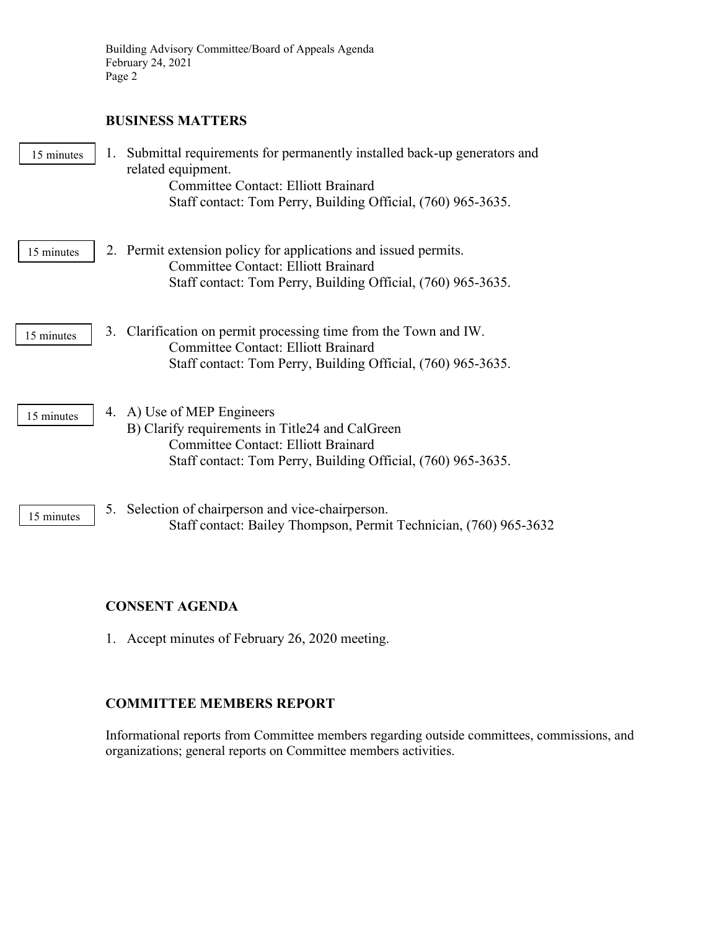## **BUSINESS MATTERS**

| 15 minutes | 1. | Submittal requirements for permanently installed back-up generators and<br>related equipment.<br><b>Committee Contact: Elliott Brainard</b><br>Staff contact: Tom Perry, Building Official, (760) 965-3635. |
|------------|----|-------------------------------------------------------------------------------------------------------------------------------------------------------------------------------------------------------------|
| 15 minutes |    | 2. Permit extension policy for applications and issued permits.<br><b>Committee Contact: Elliott Brainard</b><br>Staff contact: Tom Perry, Building Official, (760) 965-3635.                               |
| 15 minutes |    | 3. Clarification on permit processing time from the Town and IW.<br><b>Committee Contact: Elliott Brainard</b><br>Staff contact: Tom Perry, Building Official, (760) 965-3635.                              |
| 15 minutes |    | 4. A) Use of MEP Engineers<br>B) Clarify requirements in Title24 and CalGreen<br><b>Committee Contact: Elliott Brainard</b><br>Staff contact: Tom Perry, Building Official, (760) 965-3635.                 |
| 15 minutes |    | 5. Selection of chairperson and vice-chairperson.<br>Staff contact: Bailey Thompson, Permit Technician, (760) 965-3632                                                                                      |

## **CONSENT AGENDA**

1. Accept minutes of February 26, 2020 meeting.

## **COMMITTEE MEMBERS REPORT**

Informational reports from Committee members regarding outside committees, commissions, and organizations; general reports on Committee members activities.